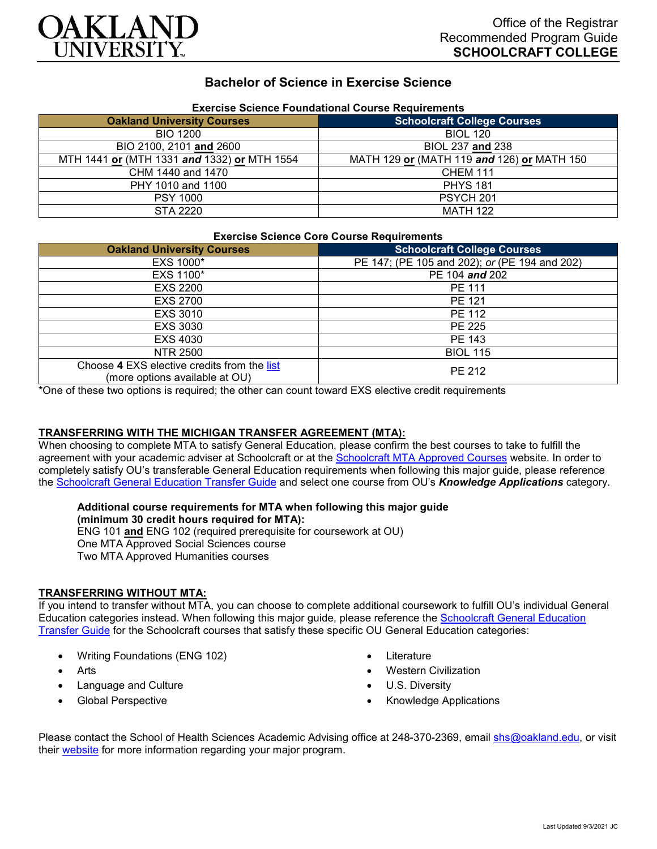

## **Bachelor of Science in Exercise Science**

| Exercise Science Foundational Course Requirements |                                            |
|---------------------------------------------------|--------------------------------------------|
| <b>Oakland University Courses</b>                 | <b>Schoolcraft College Courses</b>         |
| <b>BIO 1200</b>                                   | <b>BIOL 120</b>                            |
| BIO 2100, 2101 and 2600                           | BIOL 237 and 238                           |
| MTH 1441 or (MTH 1331 and 1332) or MTH 1554       | MATH 129 or (MATH 119 and 126) or MATH 150 |
| CHM 1440 and 1470                                 | <b>CHEM 111</b>                            |
| PHY 1010 and 1100                                 | <b>PHYS 181</b>                            |
| <b>PSY 1000</b>                                   | PSYCH <sub>201</sub>                       |
| <b>STA 2220</b>                                   | <b>MATH 122</b>                            |

# **Exercise Science Foundational Course Requirements**

#### **Exercise Science Core Course Requirements**

| <b>Oakland University Courses</b>                                             | <b>Schoolcraft College Courses</b>            |
|-------------------------------------------------------------------------------|-----------------------------------------------|
| EXS 1000*                                                                     | PE 147; (PE 105 and 202); or (PE 194 and 202) |
| EXS 1100*                                                                     | PE 104 and 202                                |
| <b>EXS 2200</b>                                                               | PE 111                                        |
| <b>EXS 2700</b>                                                               | PE 121                                        |
| EXS 3010                                                                      | PE 112                                        |
| EXS 3030                                                                      | PE 225                                        |
| EXS 4030                                                                      | PE 143                                        |
| <b>NTR 2500</b>                                                               | <b>BIOL 115</b>                               |
| Choose 4 EXS elective credits from the list<br>(more options available at OU) | PE 212                                        |

\*One of these two options is required; the other can count toward EXS elective credit requirements

## **TRANSFERRING WITH THE MICHIGAN TRANSFER AGREEMENT (MTA):**

When choosing to complete MTA to satisfy General Education, please confirm the best courses to take to fulfill the agreement with your academic adviser at Schoolcraft or at the [Schoolcraft MTA Approved Courses](https://www.schoolcraft.edu/academics/michigan-transfer-agreement) website. In order to completely satisfy OU's transferable General Education requirements when following this major guide, please reference the [Schoolcraft General Education Transfer Guide](https://www.oakland.edu/Assets/Oakland/program-guides/schoolcraft-college/university-general-education-requirements/Schoolcraft%20Gen%20Ed.pdf) and select one course from OU's *Knowledge Applications* category.

## **Additional course requirements for MTA when following this major guide**

**(minimum 30 credit hours required for MTA):**

ENG 101 **and** ENG 102 (required prerequisite for coursework at OU) One MTA Approved Social Sciences course Two MTA Approved Humanities courses

#### **TRANSFERRING WITHOUT MTA:**

If you intend to transfer without MTA, you can choose to complete additional coursework to fulfill OU's individual General Education categories instead. When following this major guide, please reference the [Schoolcraft General Education](https://www.oakland.edu/Assets/Oakland/program-guides/schoolcraft-college/university-general-education-requirements/Schoolcraft%20Gen%20Ed.pdf)  [Transfer Guide](https://www.oakland.edu/Assets/Oakland/program-guides/schoolcraft-college/university-general-education-requirements/Schoolcraft%20Gen%20Ed.pdf) for the Schoolcraft courses that satisfy these specific OU General Education categories:

- Writing Foundations (ENG 102)
- **Arts**
- Language and Culture
- Global Perspective
- **Literature**
- Western Civilization
- U.S. Diversity
- Knowledge Applications

Please contact the School of Health Sciences Academic Advising office at 248-370-2369, email [shs@oakland.edu,](mailto:shs@oakland.edu) or visit their [website](http://www.oakland.edu/shs/advising) for more information regarding your major program.